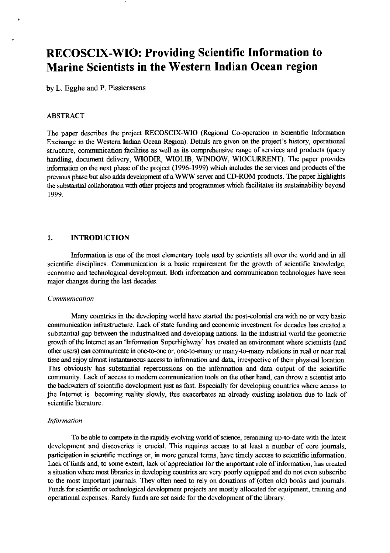# **RECOSCM-WIO: Providing Scientific Information to Marine Scientists in the Western Indian Ocean region**

by L. Egghe and P. Pissierssens

#### ABSTRACT

The paper describes the project RECOSCIX-WIO (Regional Co-operation in Scientfic Information Exchange in the Westem Indian Ocean Region). Details are given on the project's history, operational structure, communication facilities as well **as** its comprehensive range of services and products (query handling, document delivery, WIODIR, WIOLIB, WINDOW, WIOCURRENT). The paper provides information on the next phase of the project (1996-1999) which includes the services and products of the previous phase but also adds development of a **WWW** server and CD-ROM products. The paper highlights the substantial collaboration with other projects and programmes which facilitates its sustainability beyond 1999.

#### 1. INTRODUCTION

Information is one of the most elementary tools used by scientists all over the world and in all scientific disciplines. Communication is a basic requirement for the growth of scientific knowledge, economic and technological development. Both information and communication technologies have seen major changes during the last decades.

#### *Communication*

Many countries in the developing world have started the post-colonial era with no or very basic communication infrastructure. Lack of state funding and economic investment for decades has created a substantial gap between the industrialized and developing nations. In the industrial world the geometric growth of the Intemet **as** an 'Information Superhighway' has created an environment where scientists (and other users) **can** communicate in one-bone or, one-to-many or many-to-many relations in real or near real time and enjoy almost instantaneous access to information and data, irrespective of their physical location. This obviously has substantial repercussions on the information and data output of the scientific community. Lack of access to modem communication tools on the other hand, can throw a scientist into the backwaters of scientific development just as fast. Especially for developing countries where access to fhe Intemet is becoming reality slowly, this exacerbates an already existing isolation due to lack of scientific literature.

#### *Information*

To be able to compete in the rapidly evolving world of science, remaining up-to-date with the latest development and discoveries is crucial. This requires access to at least a number of core journals, participation **in** scientific meetings or, in more general terms, have timely access to scientific information. Lack of funds and, to some extent, lack of appreciation for the important role of information, has created a situation where most libraries in developing countries **are** very poorly equipped and do not even subscribe to the most important journals. They often need to rely on donations of (often old) books and joumals. Funds for scientific or technological development projects are mostly allocated for equipment, training and operational expenses. Rarely funds are set aside for the development of the library.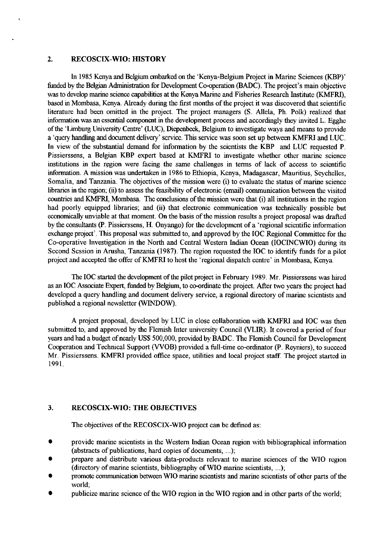#### **2.** RECOSCIX-WIO: HISTORY

In 1985 Kenya and Belgium embarked on the 'Kenya-Belgium Project in Marine Sciences (KBP)' funded by the Belgian Administration for Development Co-operation (BADC). The project's main objective was to develop marine science capabilities at the Kenya Marine and Fisheries Research Institute (KMFRI), based in Mombasa, Kenya. Already during the first months of the project it was discovered that scientific literature had been omitted in the project. The project managers (S. Allela, Ph. Pok) realized that information was an essential component in the development process and accordingly they invited L. Egghe of the 'Liburg University Centre' (LUC), Diepenbeek, Belgium to investigate ways and means to provide a 'query **handlug** and document delivery' service. This service was soon set up between KMFRI and LUC. In view of the substantial demand for information by the scientists the KBP and LUC requested P. Pissierssens, a Belgian KBP expert based at KMFRI to investigate whether other marine science institutions in the region were facing the same challenges in terms of lack of access to scientific information. A mission was undertaken in 1986 to Ethiopia, Kenya, Madagascar, Mauritius, Seychelles, Somalia, and Tanzania. The objectives of the mission were (i) to evaluate the status of marine science libraries in the region; (ii) to assess the feasibility of electronic (email) communication between the visited countries and KMFRI, Mombasa. The conclusions of the mission were that (i) all institutions in the region had poorly equipped libraries; and (ii) that electronic communication was technically possible but economically unviable at that moment. On the basis of the mission results a project proposal was drafted by the consultants (F'. Pissierssens, H. Onyango) for the development of a 'regional scientific information exchange project'. This proposal was submitted to, and approved by the IOC Regional Committee for the Co-operative Investigation in the North and Central Western Indian Ocean (IOCINCWIO) during its Second Session in Arusha, Tanzania (1987). The region requested the IOC to identify fimds for a pilot project and accepted the offer of KMFRI to host the 'regional dispatch centre' in Mombasa, Kenya

The IOC **started** the development of the pilot project in February 1989. Mr. Pissierssens was hired as an IOC Associate Expert, funded by Belgium, to co-ordinate the project. After two years the project had developed a query handling and document delivery service, a regional directory of marine scientists and published a regional newsletter (WINDOW).

A project proposal, developed by LUC in close collaboration with KMFRI and IOC was then submitted to, and approved by the Flemish Inter university Council (VLIR). It covered a period of four years and had a budget of nearly US\$500,000, provided by BADC. The Flemish Council for Development Cooperation and Technical Support (VVOB) provided a full-time co-ordinator (P. Reynicrs), to succeed Mr. Pissierssens. KMFRI provided office space, utilities and local project staff. The project started in 1991.

#### **3.** RECOSCIX-WIO: THE OBJECTIVES

The objectives of the RECOSCIX-WIO project can be defined as:

- $\bullet$ provide marine scientists in the Western Indian Ocean region with bihliographical information (abstracts of publications, hard copies of documents, ...);
- prepare and distribute various data-products relevant to marine sciences of the WIO reyon (directory of marine scientists, bibliography of WIO marine scientists, ...);
- promote communication between WIO marine scientists and marine scientists of other parts of the world;
- publicize marine science of the WIO region in the WIO region and in other parts of the world;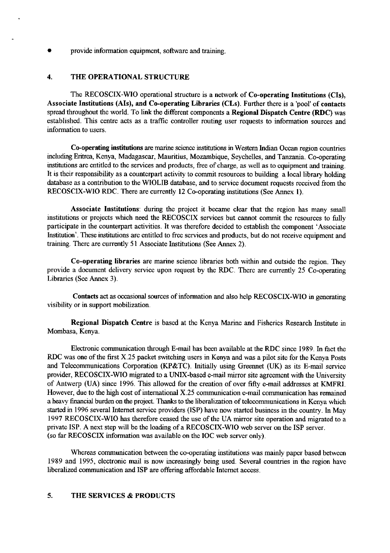provide information equipment, software and training.

### 4. THE OPERATIONAL STRUCTURE

The RECOSCIX-WIO operational structure is a network of Co-operating Institutions (CIs), Associate Institutions (AIs), and Co-operating Libraries (CLs). Further there is a 'pool' of contacts spread throughout the world. To link the different components a Regional Dispatch Centre (RDC) was established. This centre acts as a traffic controller routing user requests to infomation sources and infomation to users.

Co-operating institutions **are** marine science institutions in Western Indian Ocean region countries including Eritrea, Kenya, Madagascar, Mauritius, Mozambique, Seychelles, and Tanzania. Co-operating institutions are entitled to the services and products, free of charge, as well as to equipment and training. It is their responsibility as a counterpart activity to commit resources to building a local library holding database as a contribution to the WIOLIB database, and to service document requests received from the RECOSCIX-WIO RDC. There are currently 12 Co-operating institutions (See Annex 1).

Associate Institutions: during the project it became clear that the region has many small institutions or projects which need the RECOSCIX services but cannot commit the resources to fully participate in the counterpart activities. It was therefore decided to establish the component 'Associate Institution'. These institutions are entitled to free services and products, but do not receive equipment and training. There are currently 51 Associate Institutions (See Annex 2).

Co-operating libraries are marine science libraries both within and outside the region. They provide a document delivery service upon request by the RDC. There are currently 25 Co-operating Libraries (See Annex 3).

Contacts act as occasional sources of information and also help RECOSCIX-WIO in generating visibility or in support mobilization.

Regional Dispatch Centre is based at the Kenya Marine and Fisheries Research Institute in Mombasa, Kenya.

Electronic communication through E-mail has been available at the RDC since 1989. In fact the RDC was one of the first X.25 packet switching users in Kenya and was a pilot site for the Kenya Posts and Telecommunications Corporation (KP&TC). Initially using Greennet (UK) as its E-mail service provider, RECOSCIX-WIO migrated to a UNIX-based e-mail mirror site agreement with the University of Antwerp (UA) since 1996. This allowed for the creation of over **fifty** e-mail addresses at **KMFRI.**  However, due to the high cost of international X.25 communication e-mail communication has remained a heavy financial burden on the project. Thanks to the liberalization of telecommunications in Kenya which started in 1996 several Internet service providers (ISP) have now started business in the country. In May 1997 RECOSCIX-WIO has therefore ceased the use of the UA mirror site operation and migrated to a private ISP. A next step will be the loading of a RECOSCIX-WIO web server on the ISP server. (SO far RECOSCIX information was available on the IOC web server only).

Whereas communication between the co-operating institutions was mainly paper based between 1989 and 1995, electronic mail is now increasingly being used. Several countries in the region have liberalized communication and ISP are offering affordable Internet access.

### 5. THE SERVICES & PRODUCTS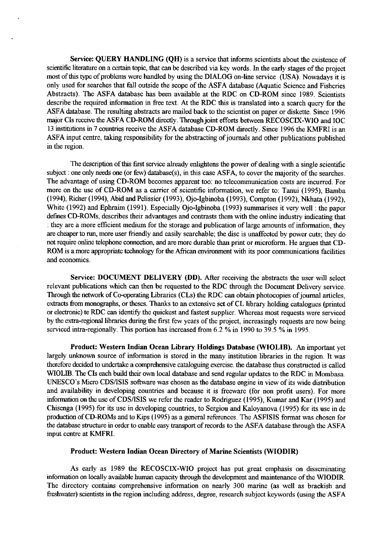Service: QUERY HANDLING (QH) is a service that informs scientists about the existence of scientific literature on a certain topic, that can be described via key words. In the early stages of the project most of this type of problems were handled by using the DIALOG on-line service (USA). Nowadays it is only used for searches that fall outside the scope of the ASFA database (Aquatic Science and Fisheries Abstracts). The ASFA database has been available at the RDC on CD-ROM since 1989. Scientists describe the required information in free text. At the RDC this is translated into a search query for the ASFA database. The resulting abstracts are mailed back to the scientist on paper or diskette. Since 1996 major CIS receive the ASFA CD-ROM directly. Through joint efforts between RECOSCM-WIO and IOC 13 institutions in 7 countries receive the ASFA database CD-ROM directly. Since 1996 the KMFRI is an ASFA input centre, taking responsibility for the abstracting of journals and other publications published in the region.

The description of this first service already enlightens the power of dealing with a single scientific subject : one only needs one (or few) database(s), in this case ASFA, to cover the majority of the searches. The advantage of using CD-ROM becomes apparent too: no telecommunication costs are incurred. For more on the use of CD-ROM as a carrier of scientific information, we refer to: Tanui (1995), Bamba (1994), Richer (1994), Abid and Pelissier (1993), Ojo-Igbinoba (1993), Compton (1992), Nkhata (1992), White (1992) and Ephraim (1991). Especially Ojo-Igbinoba (1993) summarises it very well : the paper defines CD-ROMs, describes their advantages and contrasts them with the online industry indicating that : they are a more efficient medium for the storage and publication of large amounts of information, they are cheaper to **run,** more user friendly and easily searchable; the disc is unaffected by power cuts; they do not require online telephone connection, and are more durable than print or microform. He argues that CD-ROM is a more appropriate technology for the **AGican** environment with its poor communications facilities and economics.

Service: DOCUMENT DELIVERY (DD). After receiving the abstracts the user will select relevant publications which can then be requested to the RDC through the Document Delivery service. Through the network of Co-operating Libraries (CLs) the RDC can obtain photocopies of journal articles, extracts from monographs, or theses. Thanks to an extensive set of CL library holding catalogues (printed or electronic) te RDC can identify the quickest and fastest supplier. Whereas most requests were serviced by the extra-regional Libraries during the first few years of the project, increasingly requests are now being serviced intra-regionally. This portion has increased from 6.2 % in 1990 to 39.5 % in 1995

Product: Western Indian Ocean Library Holdings Database (WIOLIB). An important yet largely unknown source of information is stored in the many institution libraries in the region. It was therefore decided to undertake a comprehensive cataloguing exercise. the database thus constructed is called WIOLIB. The CIS each build their own local database and send regular updates to the RDC in Mombasa. UNESCO's Micro CDS/ISIS software was chosen as the database engine in view of its wide distribution and availability in developing countries and because it is freeware (for non profit users). For more information on the use of CDS/ISIS we refer the reader to Rodriguez (1995), Kumar and Kar (1995) and Chisenga (1995) for its use in developing countries, to Sergiou and Kaloyanova (1995) for its use in de production of CD-ROMs and to Kips (1995) as a general references. The ASFISIS format was chosen for the database structure in order to enable easy transport of records to the ASFA database through the ASFA input centre at KMFRI.

#### Product: Western Indian Ocean Directory of Marine Scientists (WIODIR)

As early as 1989 the RECOSCIX-WIO project has put great emphasis on disseminating information on locally available human capacity through the development and maintenance of the WIODIR. The directory contains comprehensive information on nearly 300 marine (as well as brackish and freshwater) scientists in the region including address, degree, research subject keywords (using the ASFA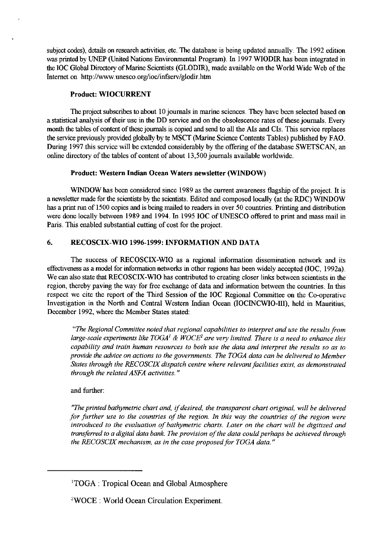subject codes), details on research activities, etc. The database is being updated annually. The 1992 edition was printed by UNEP (United Nations Environmental Program). In 1997 WIODIR has been integrated in the IOC Global Directory of Marine Scientists (GLODIR), made available on the World Wide Web of the Internet on http://www.unesco.org/ioc/infserv/glodir.htm

### Product: WIOCURRENT

The project subscribes to about 10 journals in marine sciences. They have been selected based on a statistical analysis of their use in the DD service and on the obsolescence rates of these journals. Every month the tables of content of these journals is copied and send to all the AIs and CIs. This service replaces the service previously provided globally by te MSCT (Marine Science Contents Tables) published by FAO. During 1997 this service will be extended considerably by the offering of the database SWETSCAN, an online directory of the tables of content of about 13,500 journals available worldwide.

### Product: Western Indian Ocean Waters newsletter (WINDOW)

WINDOW has been considered since 1989 as the current awareness flagship of the project. It is a newsletter made for the scientists by the scientists. Edited and composed locally (at the RDC) WINDOW has a print run of 1500 copies and is being mailed to readers in over 50 countries. Printing and distribution were done locally between 1989 and 1994. In 1995 IOC of UNESCO offered to print and mass mail in Paris. This enabled substantial cutting of cost for the project.

# **6.** RECOSCIX-WIO 1996-1999: INFORMATION AND DATA

The success of RECOSCIX-WIO as a regional information dissemination network and its effectiveness as a model for information networks in other regions **has** been widely accepted (IOC, 1992a). We can also state that RECOSCIX-WIO has contributed to creating closer links between scientists in the region, thereby paving the way for free exchange of data and information between the countries. In this respect we cite the report of the Third Session of the IOC Regional Committee on the Co-operative Investigation in the North and Central Western Indian Ocean (IOCINCWIO-III), held in Mauritius, December 1992. where the Member States stated:

*"The Regional Committee noted that regional capabilities to interpret and use the results from large-scale experiments l1ke TOGA'* & *WOCE2 are very limited. There is a need to enhance this capability and train human resources to both use the data and interpret the results so as to provide the advice on actions to the governments. The TOGA data can be delivered to Member States through the RECOSCLYdispatch centre where relevant facilities exist, as demonstrated through the related ASFA activities.* "

# and further:

*"The printed bathymemc chart and, ifdesired, the transparent chart original, will be delivered for further use to the countries of the region. In this way the countries of the region were introduced to the evaluation of barhymetric charts. Later on the chart will be digitized and transferred to a digital data bank. The provision of the data could perhaps be achieved through the RECOSCLY mechanism, as in the case proposed for TOGA data.* "

<sup>&#</sup>x27;TOGA : Tropical Ocean and Global Atmosphere

<sup>&#</sup>x27;WOCE : World Ocean Circulation Experiment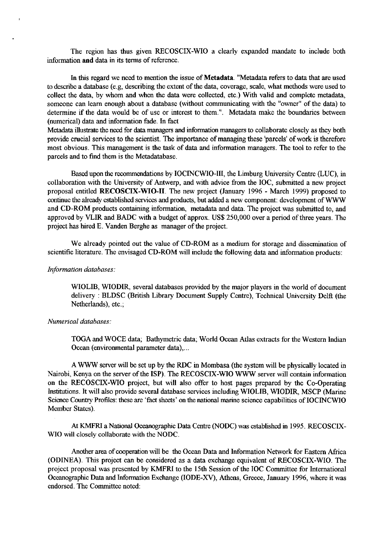The region has thus given RECOSCIX-WIO a clearly expanded mandate to include both information and data in its terms of reference.

In this regard we need to mention the issue of **Metadata.** "Metadata refers to data that are used to describe a database (e.g, describing the extent of the data, coverage, scale, what methods were used to collect the data, by whom and when the data were collected, etc.) With valid and complete metadata, someone can learn enough about a database (without communicating with the "owner" of the data) to determine if the data would be of use or interest to them.". Metadata make the boundaries between (numerical) data and information fade. In fact

Metadata illustrate the need for data managers and information managers to collaborate closely as they both provide crucial services to the scientist. The importance of **managing** these 'parcels' of work is therefore most obvious. This management is the task of data and information managers. The tool to refer to the parcels and to fmd them is the Metadatabase.

Based upon the recommendations by IOCINCWIO-111, the Limburg University Centre (LUC), in collaboration with the University of Antwerp, and with advice from the IOC, submitted a new project proposal entitled **RECOSCIX-WIO-11.** The new project **(January** 1996 - March 1999) proposed to continue the already established services and products, but added a new component: development of WWW and CD-ROM products containing information, metadata and data. The project was submitted to, and approved by VLIR and BADC with a budget of approx. US\$250,000 over a period of three years. The project has hired E. Vanden Berghe as manager of the project.

We already pointed out the value of CD-ROM as a medium for storage and dissemination of scientific literature. The envisaged CD-ROM will include the following data and information products:

#### *Information databases:*

WIOLIB, WIODIR, several databases provided by the major players in the world of document delivery : BLDSC (British Library Document Supply Centre), Technical University Delft (the Netherlands), etc.;

#### *Numerical databases:*

TOGA and WOCE data; Bathymetric data; World Ocean Atlas extracts for the Western Indian Ocean (environmental parameter data),...

A **WWW** server will be set up by the RDC in Mombasa (the system will be physically located in Nairobi, Kenya on the server of the ISP). The RECOSCIX-WIO WWW server will contain information on the RECOSCM-WIO project, but will also offer to host pages prepared by the Co-Operating Institutions. It will also provide several database services including WIOLIB, WIODIR, MSCP (Marine Science Country Profiles: these are 'fact sheets' on the national marine science capabilities of IOCINCWIO Member States).

At KMFRI a National Oceanographic Data Centre (NODC) was established in 1995. RECOSCIX-WIO will closely collaborate with the NODC.

Another area of cooperation will be the Ocean Data and Information Network for Eastern Africa (ODINEA). This project can be considered as a data exchange equivalent of RECOSCM-WIO. The project proposal was presented by **KMFRI** to the 15th Session of the IOC Committee for International Oceanographic Data and Information Exchange (IODE-XV), Athens, Greece, January 1996, where it was endorsed. The Committee noted: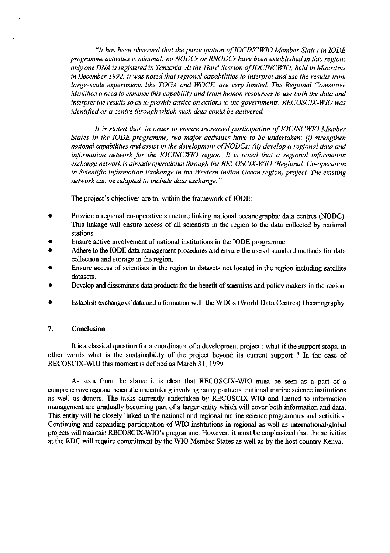*"It has been observed that the participation ofIOCINCWIO Member States in IODE programme activities is minimal: no NODCs or RNODCs have been established in this region: only one DNA is registered in Tanzania. At the Third Session of IOCINCWIO, held in Mauritius in December 1992, it was noted that regional capabilities to interpret and use the results from*  large-scale experiments like TOGA and WOCE, are very limited. The Regional Committee *identified a need to enhance this capability and train human resources to use both the data and interpret the results so as to provide advice on actions to the governments. RECOSCIX-WIO was identified as a centre through which such data could be delivered.* 

It is stated that, in order to ensure increased participation of IOCINCWIO Member *States in the IODE programme, two major activities have to be undertaken:* (i) *strengthen national capabilities and assist in the development ofNODCs; (ii) develop a regional data and information network for the IOCINCWlO region. It is noted that a regional information*  exchange network is already operational through the RECOSCIX-WIO (Regional Co-operation *in Scientific Information Exchange in the Western Indian Ocean region) project. The existing network can be adapted to include data exchange.* "

The project's objectives are to, within the framework of IODE:

- Provide a regional co-operative structure linking national oceanographic data centres (NODC). This linkage will ensure access of all scientists in the region to the data collected by national stations.
- Ensure active involvement of national institutions in the IODE programme.
- Adhere to the IODE data management procedures and ensure the use of standard methods for data collection and storage in the region.
- Ensure access of scientists in the region to datasets not located in the region including satellite datasets.
- Develop and disseminate **data** products for the benefit of scientists and policy makers in the region.
- Establish exchange of **data** and information with the WDCs (World Data Centres) Oceanography.

#### $7.$ Conclusion

It is a classical question for a coordinator of a development project : what if the support stops, in other words what is the sustainability of the project beyond its current support ? In the case of RECOSCIX-WIO this moment is defined as March 31, 1999.

As seen from the above it is clear that RECOSCIX-WIO must be seen as a part of a comprehensive regional scientific undertalung involving many partners: national marine science institutions as well as donors. The tasks currently undertaken by RECOSCIX-WIO and limited to information management are gradually becoming part of a larger entity which will cover both information and data. This entity will be closely linked to the national and regional marine science programmes and activities. Continuing and expanding participation of WIO institutions in regional as well as international/global projects will **maintain** RECOSCIX-WIO's programme. However, it must be emphasized that the activities at the RDC will require commitment by the WIO Member States as well as by the host country Kenya.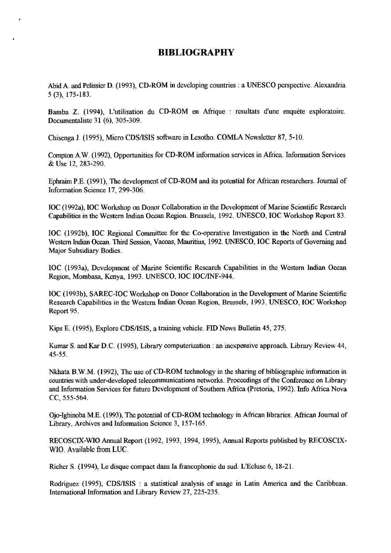# **BIBLIOGRAPHY**

Abid A. and Pelissier D. (1993), CD-ROM in developing countries : a UNESCO perspective. Alexandria 5 (3), 175-183.

Bamba Z. (1994), L'utilisation du CD-ROM en Afrique : resultats d'une enquète exploratoire. Documentaliste 31 (6), 305-309.

Chisenga J. (1995), Micro CDS/ISIS software in Lesotho. COMLA Newsletter 87, 5-10.

Compton A.W. (1992), Opportunities for CD-ROM information services in Africa. Information Services &Use 12.283-290.

Ephraim P.E. (1991), The development of CD-ROM and its potential for African researchers. Journal of Information Science 17. 299-306.

IOC (1992a), IOC Workshop on Donor Collaboration in the Development of Marine Scientific Research Capabilities in the Western Indian Ocean Region. Brussels, 1992. UNESCO, IOC Workshop Report 83

IOC (1992b), IOC Regional Committee for the Co-operative Investigation in the North and Central Westem Indian Ocean. Third Session, **Vacoas,** Mauritius, 1992. UNESCO, IOC Reports of Governing and Major Subsidiary Bodies.

IOC (1993a), Development of Marine Scientific Research Capabilities in the Western Indian Ocean Region, Mombasa, Kenya, 1993. UNESCO, IOC IOC/INF-944.

IOC (1993b), SAREC-IOC Workshop on Donor Collaboration in the Development of Marine Scientific Research Capabilities in the Western Indian Ocean Region, Brussels, 1993. UNESCO, IOC Workshop Report 95.

Kips E. (1995), Explore CDS/ISIS, a training vehicle. FID News Bulletin 45, 275.

Knmar S. and **Kar** D.C. (1995), Library computerization : an inexpensive approach. Library Review 44, 45-55.

Nkhata B.W.M. (1992), The use of CD-ROM technology in the sharing of bibliographic information in countries with under-developed telecommunications networks. Proceedings of the Conference on Library and Information Services for future Development of Southern Africa (Pretoria, 1992). Info Africa Nova CC, 555-564.

Ojo-Igbinoba M.E. (1993), The potential of CD-ROM technology in African libraries. African Journal of Library, Archives and Information Science 3, 157-165.

RECOSCIX-WIO Annual Report (1992, 1993, 1994, 1995), Annual Reports published by RECOSCIX-WIO. Available from LUC.

Richer S. (1994), Le disque compact dans la francophonie du sud. L'Ecluse 6, 18-21

Rodriguez (1995), CDS/ISIS : a statistical analysis of usage in Latin America and the Caribbean. International Information and Library Review 27, 225-235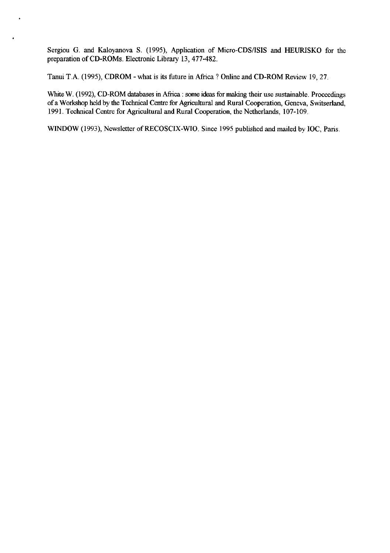Sergiou G. and Kaloyanova S. (1995), Application of Micro-CDS/ISIS and HEURISKO for the preparation of CD-ROMs. Electronic Library 13,477-482.

Tanui T.A. (1995), CDROM -what is its future in Africa ? Online and CD-ROM Review 19,27

White W. (1992), CD-ROM databases in Africa : some ideas for making their use sustainable. Proceedings of a Workshop held by the Technical Centre for Agricultural and Rural Cooperation, Geneva, Switserland. 1991. Technical Centre for Agricultural and Rural Cooperation, the Netherlands, 107-109.

WINDOW (1993), Newsletter of RECOSCIX-WIO. Since 1995 published and mailed by IOC, Paris.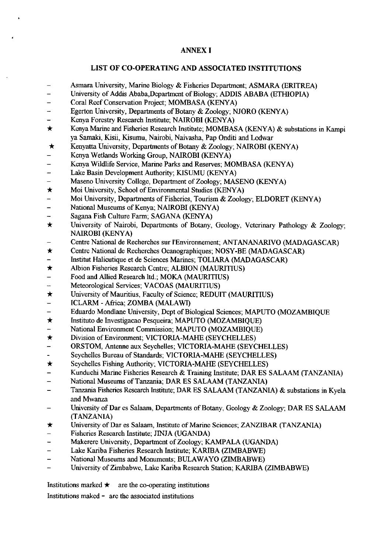#### ANNEX I

#### LIST OF CO-OPERATING AND ASSOCIATED INSTITUTIONS

- Asmara University, Marine Biology & Fisheries Department; ASMARA (ERITREA)
- University of Addis Ababa,Department of Biology; ADDIS ABABA (ETHIOPIA)
- Coral Reef Conservation Project; MOMBASA (KENYA)
- Egerton University, Departments of Botany & Zoology; NJORO (KENYA) ı.
- Kenya Forestry Research Institute; NAIROBI (KENYA)
- $\star$ Kenya Marine and Fisheries Research Institute; MOMBASA (KENYA) & substations in Kampi ya Samaki, Kisii, Kisumu, Nairobi, Naivasha, Pap Onditi and Lodwar
- $\star$ Kenyatta University, Departments of Botany & Zoology; NAIROBI (KENYA)
- Kenya Wetlands Working Group, NAIROBI (KENYA)
- Kenya Wildlife Service, Marine Parks and Reserves; MOMBASA (KENYA)  $\overline{\phantom{0}}$
- Lake Basin Development Authority; KISUMU (KENYA) L.
- Maseno University College, Department of Zoology; MASENO (KENYA)
- $\star$ Moi University, School of Environmental Studies (KENYA)
- Moi University, Departments of Fisheries, Tourism & Zoology; ELDORET (KENYA)
- National Museums of Kenya; NAIROBI (KENYA)  $\overline{a}$
- Sagana Fish Culture Farm; SAGANA (KENYA)  $\overline{a}$
- University of Nairobi, Departments of Botany, Geology, Veterinary Pathology & Zoology;  $\star$ NAIROBI (KENYA)
- Centre National de Recherches sur I'Environnement; ANTANANARIVO (MADAGASCAR)
- $\star$ Centre National de Recherches Oeanographiques; NOSY-BE (MADAGASCAR)
- Institut Halieutique et de Sciences Marines; TOLIARA (MADAGASCAR)
- $\bigstar$ Albion Fisheries Research Centre; ALBION (MAURITIUS)
- Food and Allied Research Itd.; MOKA (MAURITIUS)
- Meteorological Services; VACOAS (MAURITIUS) L,
- $\bigstar$ University of Mauritius, Faculty of Science; REDUIT (MAURITIUS)
- ICLARM Africa; ZOMBA (MALAWI)
- Eduardo Mondlane University, Dept of Biological Sciences; MAPUTO (MOZAMBIQUE  $\equiv$
- Instituto de Investigacao Pesqueira; MAPUTO (MOZAMBIQUE)  $\star$
- National Environment Commission; MAPUTO (MOZAMBIQUE)
- $\bigstar$ Division of Environment; VICTORIA-MAHE (SEYCHELLES)
- ORSTOM, Antenne aux Seychelles; VICTORIA-MAHE (SEYCHELLES)
- Seychelles Bureau of Standards; VICTORIA-MAHE (SEYCHELLES)
- $\star$ Seychelles Fishing Authority; VICTORIA-MAHE (SEYCHELLES)
- Kunduchi Marine Fisheries Research & Training Institute; DAR ES SALAAM (TANZANIA)
- National Museums of Tanzania; DARES SALAAM (TANZANIA)
- Tanzania Fisheries Research Institute; DARES SALAAM (TANZANIA) & substations in Kyela and Mwanza
- University of Dar es Salaam, Departments of Botany, Geology & Zoology; DAR ES SALAAM (TANZANIA)
- University of Dar es Salaam, Institute of Marine Sciences; ZANZIBAR (TANZANIA)  $\star$
- Fisheries Research Institute; JINJA (UGANDA)
- Makerere University, Department of Zoology; KAMPALA (UGANDA)
- Lake Kariba Fisheries Research Institute; KARIBA (ZIMBABWE)
- National Museums and Monuments; BULAWAYO (ZIMBABWE)  $\overline{a}$
- University of Zimbabwe, Lake Kariba Research Station; KARIBA (ZIMBABWE)

Institutions marked  $\star$  are the co-operating institutions

Institutions maked - are the associated institutions